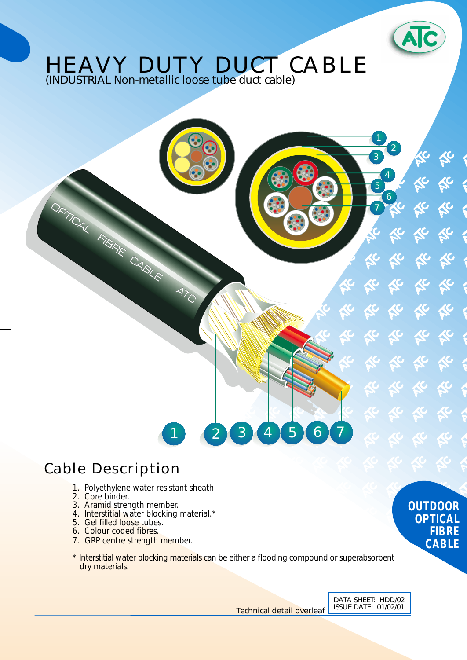

1

3

5

7

2

4

6

## HEAVY DUTY DUCT CABLE (INDUSTRIAL Non-metallic loose tube duct cable)

## Cable Description

ORTUAL FIBRE CABLE ATC

- 1. Polyethylene water resistant sheath.
- 2. Core binder.
- 3. Aramid strength member.
- 4. Interstitial water blocking material.\*
	- 5. Gel filled loose tubes.
	- 6. Colour coded fibres.
	- 7. GRP centre strength member.
	- \* Interstitial water blocking materials can be either a flooding compound or superabsorbent dry materials.

1 2 3 4 5 6 7

Technical detail overleaf ISSUE DATE: 01/02/01

**OUTDOOR OPTICAL FIBRE CABLE**

DATA SHEET: HDD/02